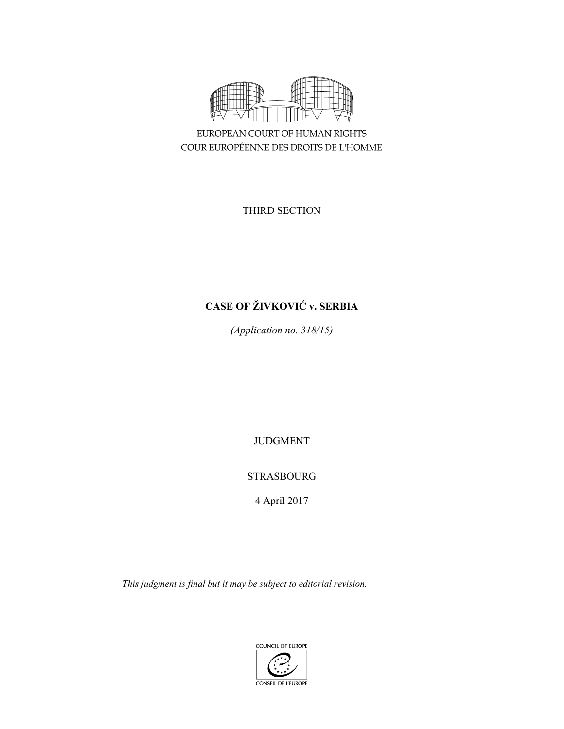

EUROPEAN COURT OF HUMAN RIGHTS COUR EUROPÉENNE DES DROITS DE L'HOMME

THIRD SECTION

# **CASE OF ŽIVKOVIĆ v. SERBIA**

*(Application no. 318/15)* 

JUDGMENT

STRASBOURG

4 April 2017

*This judgment is final but it may be subject to editorial revision.*

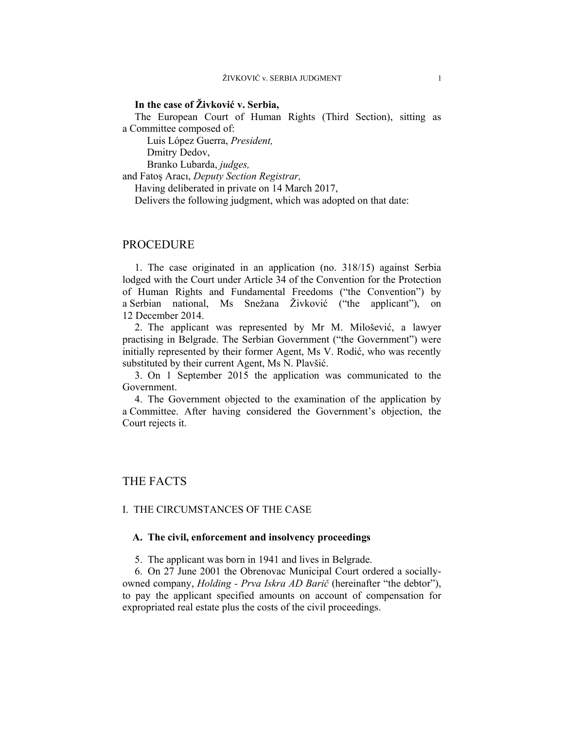# **In the case of Živković v. Serbia,**

The European Court of Human Rights (Third Section), sitting as a Committee composed of:

 Luis López Guerra, *President,*  Dmitry Dedov,

Branko Lubarda, *judges,*

and Fatoş Aracı, *Deputy Section Registrar,*

Having deliberated in private on 14 March 2017,

Delivers the following judgment, which was adopted on that date:

# PROCEDURE

1. The case originated in an application (no. 318/15) against Serbia lodged with the Court under Article 34 of the Convention for the Protection of Human Rights and Fundamental Freedoms ("the Convention") by a Serbian national, Ms Snežana Živković ("the applicant"), on 12 December 2014.

2. The applicant was represented by Mr M. Milošević, a lawyer practising in Belgrade. The Serbian Government ("the Government") were initially represented by their former Agent, Ms V. Rodić, who was recently substituted by their current Agent, Ms N. Plavšić.

3. On 1 September 2015 the application was communicated to the Government.

4. The Government objected to the examination of the application by a Committee. After having considered the Government's objection, the Court rejects it.

# THE FACTS

## I. THE CIRCUMSTANCES OF THE CASE

## **A. The civil, enforcement and insolvency proceedings**

5. The applicant was born in 1941 and lives in Belgrade.

6. On 27 June 2001 the Obrenovac Municipal Court ordered a sociallyowned company, *Holding - Prva Iskra AD Barič* (hereinafter "the debtor"), to pay the applicant specified amounts on account of compensation for expropriated real estate plus the costs of the civil proceedings.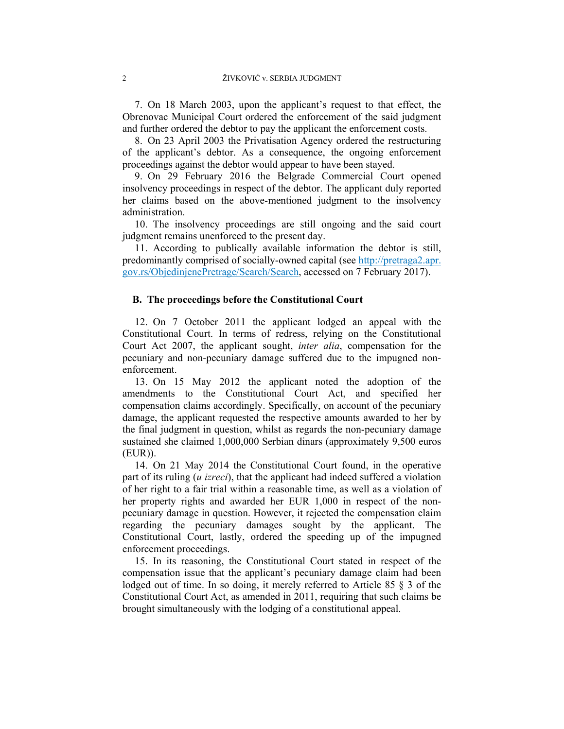7. On 18 March 2003, upon the applicant's request to that effect, the Obrenovac Municipal Court ordered the enforcement of the said judgment and further ordered the debtor to pay the applicant the enforcement costs.

8. On 23 April 2003 the Privatisation Agency ordered the restructuring of the applicant's debtor. As a consequence, the ongoing enforcement proceedings against the debtor would appear to have been stayed.

9. On 29 February 2016 the Belgrade Commercial Court opened insolvency proceedings in respect of the debtor. The applicant duly reported her claims based on the above-mentioned judgment to the insolvency administration.

10. The insolvency proceedings are still ongoing and the said court judgment remains unenforced to the present day.

11. According to publically available information the debtor is still, predominantly comprised of socially-owned capital (see http://pretraga2.apr. gov.rs/ObjedinjenePretrage/Search/Search, accessed on 7 February 2017).

## **B. The proceedings before the Constitutional Court**

12. On 7 October 2011 the applicant lodged an appeal with the Constitutional Court. In terms of redress, relying on the Constitutional Court Act 2007, the applicant sought, *inter alia*, compensation for the pecuniary and non-pecuniary damage suffered due to the impugned nonenforcement.

13. On 15 May 2012 the applicant noted the adoption of the amendments to the Constitutional Court Act, and specified her compensation claims accordingly. Specifically, on account of the pecuniary damage, the applicant requested the respective amounts awarded to her by the final judgment in question, whilst as regards the non-pecuniary damage sustained she claimed 1,000,000 Serbian dinars (approximately 9,500 euros (EUR)).

14. On 21 May 2014 the Constitutional Court found, in the operative part of its ruling (*u izreci*), that the applicant had indeed suffered a violation of her right to a fair trial within a reasonable time, as well as a violation of her property rights and awarded her EUR 1,000 in respect of the nonpecuniary damage in question. However, it rejected the compensation claim regarding the pecuniary damages sought by the applicant. The Constitutional Court, lastly, ordered the speeding up of the impugned enforcement proceedings.

15. In its reasoning, the Constitutional Court stated in respect of the compensation issue that the applicant's pecuniary damage claim had been lodged out of time. In so doing, it merely referred to Article 85 § 3 of the Constitutional Court Act, as amended in 2011, requiring that such claims be brought simultaneously with the lodging of a constitutional appeal.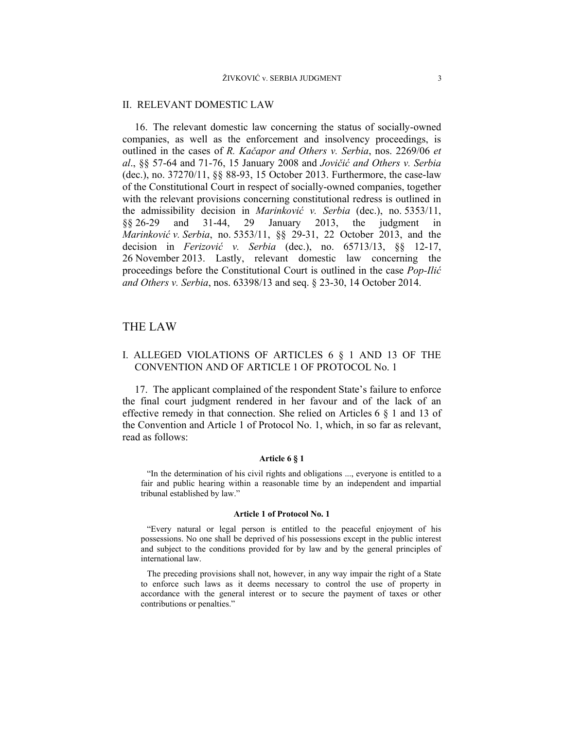## II. RELEVANT DOMESTIC LAW

16. The relevant domestic law concerning the status of socially-owned companies, as well as the enforcement and insolvency proceedings, is outlined in the cases of *R. Kačapor and Others v. Serbia*, nos. 2269/06 *et al*., §§ 57-64 and 71-76, 15 January 2008 and *Jovičić and Others v. Serbia* (dec.), no. 37270/11, §§ 88-93, 15 October 2013. Furthermore, the case-law of the Constitutional Court in respect of socially-owned companies, together with the relevant provisions concerning constitutional redress is outlined in the admissibility decision in *Marinković v. Serbia* (dec.), no. 5353/11, §§ 26-29 and 31-44, 29 January 2013, the judgment in *Marinković v. Serbia*, no. 5353/11, §§ 29-31, 22 October 2013, and the decision in *Ferizović v. Serbia* (dec.), no. 65713/13, §§ 12-17, 26 November 2013. Lastly, relevant domestic law concerning the proceedings before the Constitutional Court is outlined in the case *Pop-Ilić and Others v. Serbia*, nos. 63398/13 and seq. § 23-30, 14 October 2014.

# THE LAW

# I. ALLEGED VIOLATIONS OF ARTICLES 6 § 1 AND 13 OF THE CONVENTION AND OF ARTICLE 1 OF PROTOCOL No. 1

17. The applicant complained of the respondent State's failure to enforce the final court judgment rendered in her favour and of the lack of an effective remedy in that connection. She relied on Articles 6 § 1 and 13 of the Convention and Article 1 of Protocol No. 1, which, in so far as relevant, read as follows:

#### **Article 6 § 1**

"In the determination of his civil rights and obligations ..., everyone is entitled to a fair and public hearing within a reasonable time by an independent and impartial tribunal established by law."

#### **Article 1 of Protocol No. 1**

"Every natural or legal person is entitled to the peaceful enjoyment of his possessions. No one shall be deprived of his possessions except in the public interest and subject to the conditions provided for by law and by the general principles of international law.

The preceding provisions shall not, however, in any way impair the right of a State to enforce such laws as it deems necessary to control the use of property in accordance with the general interest or to secure the payment of taxes or other contributions or penalties."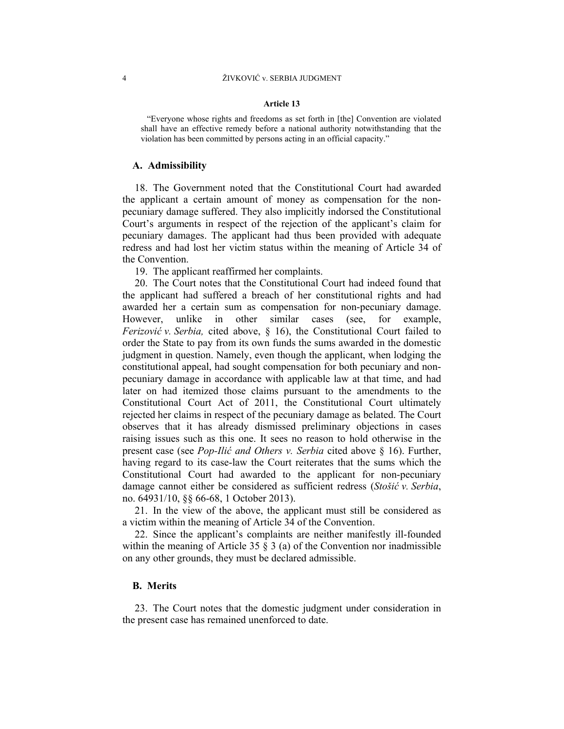#### **Article 13**

"Everyone whose rights and freedoms as set forth in [the] Convention are violated shall have an effective remedy before a national authority notwithstanding that the violation has been committed by persons acting in an official capacity."

## **A. Admissibility**

18. The Government noted that the Constitutional Court had awarded the applicant a certain amount of money as compensation for the nonpecuniary damage suffered. They also implicitly indorsed the Constitutional Court's arguments in respect of the rejection of the applicant's claim for pecuniary damages. The applicant had thus been provided with adequate redress and had lost her victim status within the meaning of Article 34 of the Convention.

19. The applicant reaffirmed her complaints.

20. The Court notes that the Constitutional Court had indeed found that the applicant had suffered a breach of her constitutional rights and had awarded her a certain sum as compensation for non-pecuniary damage. However, unlike in other similar cases (see, for example, *Ferizović v. Serbia,* cited above, § 16), the Constitutional Court failed to order the State to pay from its own funds the sums awarded in the domestic judgment in question. Namely, even though the applicant, when lodging the constitutional appeal, had sought compensation for both pecuniary and nonpecuniary damage in accordance with applicable law at that time, and had later on had itemized those claims pursuant to the amendments to the Constitutional Court Act of 2011, the Constitutional Court ultimately rejected her claims in respect of the pecuniary damage as belated. The Court observes that it has already dismissed preliminary objections in cases raising issues such as this one. It sees no reason to hold otherwise in the present case (see *Pop-Ilić and Others v. Serbia* cited above § 16). Further, having regard to its case-law the Court reiterates that the sums which the Constitutional Court had awarded to the applicant for non-pecuniary damage cannot either be considered as sufficient redress (*Stošić v. Serbia*, no. 64931/10, §§ 66-68, 1 October 2013).

21. In the view of the above, the applicant must still be considered as a victim within the meaning of Article 34 of the Convention.

22. Since the applicant's complaints are neither manifestly ill-founded within the meaning of Article 35  $\S$  3 (a) of the Convention nor inadmissible on any other grounds, they must be declared admissible.

#### **B. Merits**

23. The Court notes that the domestic judgment under consideration in the present case has remained unenforced to date.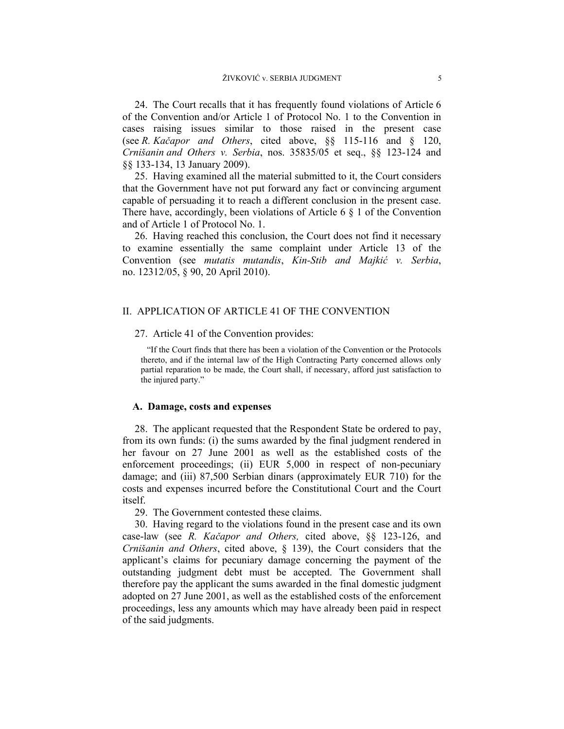24. The Court recalls that it has frequently found violations of Article 6 of the Convention and/or Article 1 of Protocol No. 1 to the Convention in cases raising issues similar to those raised in the present case (see *R. Kačapor and Others*, cited above, §§ 115-116 and § 120, *Crnišanin and Others v. Serbia*, nos. 35835/05 et seq., §§ 123-124 and §§ 133-134, 13 January 2009).

25. Having examined all the material submitted to it, the Court considers that the Government have not put forward any fact or convincing argument capable of persuading it to reach a different conclusion in the present case. There have, accordingly, been violations of Article 6  $\S$  1 of the Convention and of Article 1 of Protocol No. 1.

26. Having reached this conclusion, the Court does not find it necessary to examine essentially the same complaint under Article 13 of the Convention (see *mutatis mutandis*, *Kin-Stib and Majkić v. Serbia*, no. 12312/05, § 90, 20 April 2010).

# II. APPLICATION OF ARTICLE 41 OF THE CONVENTION

#### 27. Article 41 of the Convention provides:

"If the Court finds that there has been a violation of the Convention or the Protocols thereto, and if the internal law of the High Contracting Party concerned allows only partial reparation to be made, the Court shall, if necessary, afford just satisfaction to the injured party."

## **A. Damage, costs and expenses**

28. The applicant requested that the Respondent State be ordered to pay, from its own funds: (i) the sums awarded by the final judgment rendered in her favour on 27 June 2001 as well as the established costs of the enforcement proceedings; (ii) EUR 5,000 in respect of non-pecuniary damage; and (iii) 87,500 Serbian dinars (approximately EUR 710) for the costs and expenses incurred before the Constitutional Court and the Court itself.

29. The Government contested these claims.

30. Having regard to the violations found in the present case and its own case-law (see *R. Kačapor and Others,* cited above, §§ 123-126, and *Crnišanin and Others*, cited above, § 139), the Court considers that the applicant's claims for pecuniary damage concerning the payment of the outstanding judgment debt must be accepted. The Government shall therefore pay the applicant the sums awarded in the final domestic judgment adopted on 27 June 2001, as well as the established costs of the enforcement proceedings, less any amounts which may have already been paid in respect of the said judgments.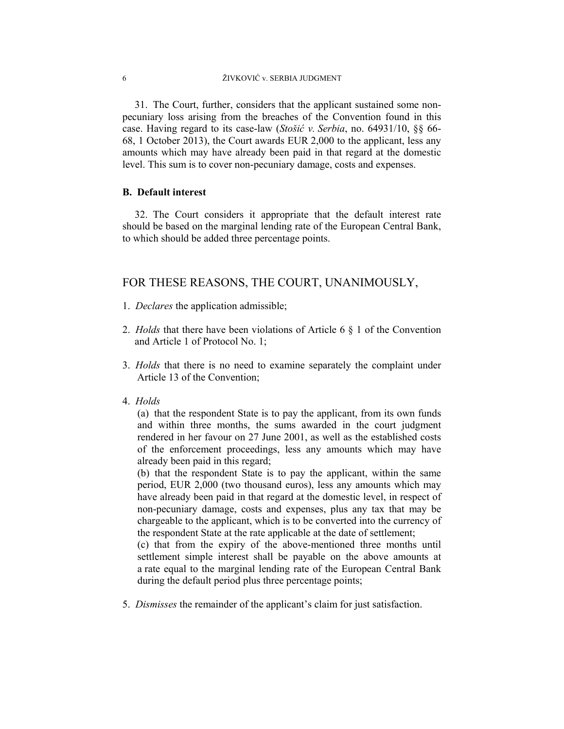31. The Court, further, considers that the applicant sustained some nonpecuniary loss arising from the breaches of the Convention found in this case. Having regard to its case-law (*Stošić v. Serbia*, no. 64931/10, §§ 66- 68, 1 October 2013), the Court awards EUR 2,000 to the applicant, less any amounts which may have already been paid in that regard at the domestic level. This sum is to cover non-pecuniary damage, costs and expenses.

# **B. Default interest**

32. The Court considers it appropriate that the default interest rate should be based on the marginal lending rate of the European Central Bank, to which should be added three percentage points.

# FOR THESE REASONS, THE COURT, UNANIMOUSLY,

- 1. *Declares* the application admissible;
- 2. *Holds* that there have been violations of Article 6 § 1 of the Convention and Article 1 of Protocol No. 1;
- 3. *Holds* that there is no need to examine separately the complaint under Article 13 of the Convention;
- 4. *Holds*

(a) that the respondent State is to pay the applicant, from its own funds and within three months, the sums awarded in the court judgment rendered in her favour on 27 June 2001, as well as the established costs of the enforcement proceedings, less any amounts which may have already been paid in this regard;

(b) that the respondent State is to pay the applicant, within the same period, EUR 2,000 (two thousand euros), less any amounts which may have already been paid in that regard at the domestic level, in respect of non-pecuniary damage, costs and expenses, plus any tax that may be chargeable to the applicant, which is to be converted into the currency of the respondent State at the rate applicable at the date of settlement;

(c) that from the expiry of the above-mentioned three months until settlement simple interest shall be payable on the above amounts at a rate equal to the marginal lending rate of the European Central Bank during the default period plus three percentage points;

5. *Dismisses* the remainder of the applicant's claim for just satisfaction.